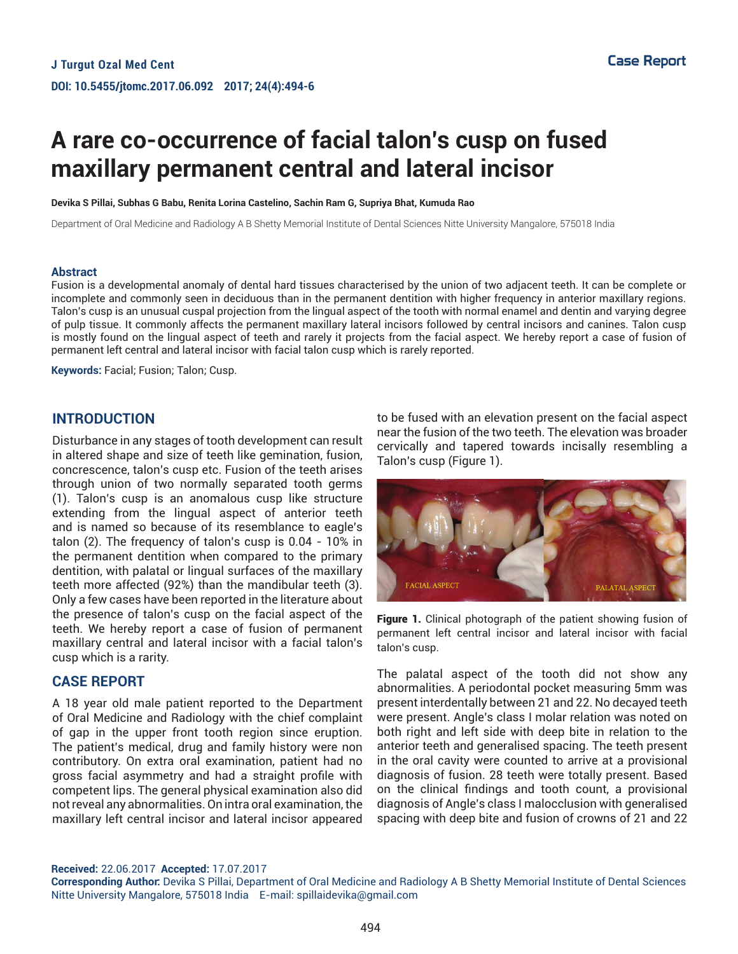# **A rare co-occurrence of facial talon's cusp on fused maxillary permanent central and lateral incisor**

**Devika S Pillai, Subhas G Babu, Renita Lorina Castelino, Sachin Ram G, Supriya Bhat, Kumuda Rao**

Department of Oral Medicine and Radiology A B Shetty Memorial Institute of Dental Sciences Nitte University Mangalore, 575018 India

#### **Abstract**

Fusion is a developmental anomaly of dental hard tissues characterised by the union of two adjacent teeth. It can be complete or incomplete and commonly seen in deciduous than in the permanent dentition with higher frequency in anterior maxillary regions. Talon's cusp is an unusual cuspal projection from the lingual aspect of the tooth with normal enamel and dentin and varying degree of pulp tissue. It commonly affects the permanent maxillary lateral incisors followed by central incisors and canines. Talon cusp is mostly found on the lingual aspect of teeth and rarely it projects from the facial aspect. We hereby report a case of fusion of permanent left central and lateral incisor with facial talon cusp which is rarely reported.

**Keywords:** Facial; Fusion; Talon; Cusp.

#### **INTRODUCTION**

Disturbance in any stages of tooth development can result in altered shape and size of teeth like gemination, fusion, concrescence, talon's cusp etc. Fusion of the teeth arises through union of two normally separated tooth germs (1). Talon's cusp is an anomalous cusp like structure extending from the lingual aspect of anterior teeth and is named so because of its resemblance to eagle's talon (2). The frequency of talon's cusp is 0.04 - 10% in the permanent dentition when compared to the primary dentition, with palatal or lingual surfaces of the maxillary teeth more affected (92%) than the mandibular teeth (3). Only a few cases have been reported in the literature about the presence of talon's cusp on the facial aspect of the teeth. We hereby report a case of fusion of permanent maxillary central and lateral incisor with a facial talon's cusp which is a rarity.

#### **CASE REPORT**

A 18 year old male patient reported to the Department of Oral Medicine and Radiology with the chief complaint of gap in the upper front tooth region since eruption. The patient's medical, drug and family history were non contributory. On extra oral examination, patient had no gross facial asymmetry and had a straight profile with competent lips. The general physical examination also did not reveal any abnormalities. On intra oral examination, the maxillary left central incisor and lateral incisor appeared to be fused with an elevation present on the facial aspect near the fusion of the two teeth. The elevation was broader cervically and tapered towards incisally resembling a Talon's cusp (Figure 1).



Figure 1. Clinical photograph of the patient showing fusion of permanent left central incisor and lateral incisor with facial talon's cusp.

The palatal aspect of the tooth did not show any abnormalities. A periodontal pocket measuring 5mm was present interdentally between 21 and 22. No decayed teeth were present. Angle's class I molar relation was noted on both right and left side with deep bite in relation to the anterior teeth and generalised spacing. The teeth present in the oral cavity were counted to arrive at a provisional diagnosis of fusion. 28 teeth were totally present. Based on the clinical findings and tooth count, a provisional diagnosis of Angle's class I malocclusion with generalised spacing with deep bite and fusion of crowns of 21 and 22

**Received:** 22.06.2017 **Accepted:** 17.07.2017

**Corresponding Author:** Devika S Pillai, Department of Oral Medicine and Radiology A B Shetty Memorial Institute of Dental Sciences Nitte University Mangalore, 575018 India E-mail: spillaidevika@gmail.com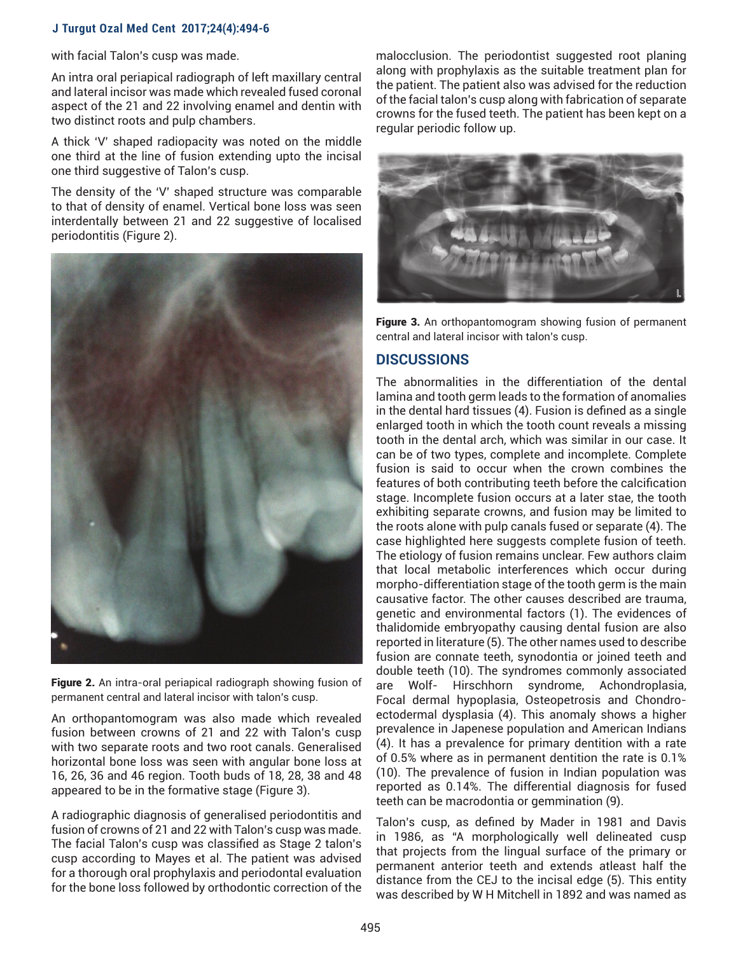## **J Turgut Ozal Med Cent 2017;24(4):494-6**

with facial Talon's cusp was made.

An intra oral periapical radiograph of left maxillary central and lateral incisor was made which revealed fused coronal aspect of the 21 and 22 involving enamel and dentin with two distinct roots and pulp chambers.

A thick 'V' shaped radiopacity was noted on the middle one third at the line of fusion extending upto the incisal one third suggestive of Talon's cusp.

The density of the 'V' shaped structure was comparable to that of density of enamel. Vertical bone loss was seen interdentally between 21 and 22 suggestive of localised periodontitis (Figure 2).



Figure 2. An intra-oral periapical radiograph showing fusion of permanent central and lateral incisor with talon's cusp.

An orthopantomogram was also made which revealed fusion between crowns of 21 and 22 with Talon's cusp with two separate roots and two root canals. Generalised horizontal bone loss was seen with angular bone loss at 16, 26, 36 and 46 region. Tooth buds of 18, 28, 38 and 48 appeared to be in the formative stage (Figure 3).

A radiographic diagnosis of generalised periodontitis and fusion of crowns of 21 and 22 with Talon's cusp was made. The facial Talon's cusp was classified as Stage 2 talon's cusp according to Mayes et al. The patient was advised for a thorough oral prophylaxis and periodontal evaluation for the bone loss followed by orthodontic correction of the malocclusion. The periodontist suggested root planing along with prophylaxis as the suitable treatment plan for the patient. The patient also was advised for the reduction of the facial talon's cusp along with fabrication of separate crowns for the fused teeth. The patient has been kept on a regular periodic follow up.



Figure 3. An orthopantomogram showing fusion of permanent central and lateral incisor with talon's cusp.

### **DISCUSSIONS**

The abnormalities in the differentiation of the dental lamina and tooth germ leads to the formation of anomalies in the dental hard tissues (4). Fusion is defined as a single enlarged tooth in which the tooth count reveals a missing tooth in the dental arch, which was similar in our case. It can be of two types, complete and incomplete. Complete fusion is said to occur when the crown combines the features of both contributing teeth before the calcification stage. Incomplete fusion occurs at a later stae, the tooth exhibiting separate crowns, and fusion may be limited to the roots alone with pulp canals fused or separate (4). The case highlighted here suggests complete fusion of teeth. The etiology of fusion remains unclear. Few authors claim that local metabolic interferences which occur during morpho-differentiation stage of the tooth germ is the main causative factor. The other causes described are trauma, genetic and environmental factors (1). The evidences of thalidomide embryopathy causing dental fusion are also reported in literature (5). The other names used to describe fusion are connate teeth, synodontia or joined teeth and double teeth (10). The syndromes commonly associated are Wolf- Hirschhorn syndrome, Achondroplasia, Focal dermal hypoplasia, Osteopetrosis and Chondroectodermal dysplasia (4). This anomaly shows a higher prevalence in Japenese population and American Indians (4). It has a prevalence for primary dentition with a rate of 0.5% where as in permanent dentition the rate is 0.1% (10). The prevalence of fusion in Indian population was reported as 0.14%. The differential diagnosis for fused teeth can be macrodontia or gemmination (9).

Talon's cusp, as defined by Mader in 1981 and Davis in 1986, as "A morphologically well delineated cusp that projects from the lingual surface of the primary or permanent anterior teeth and extends atleast half the distance from the CEJ to the incisal edge (5). This entity was described by W H Mitchell in 1892 and was named as